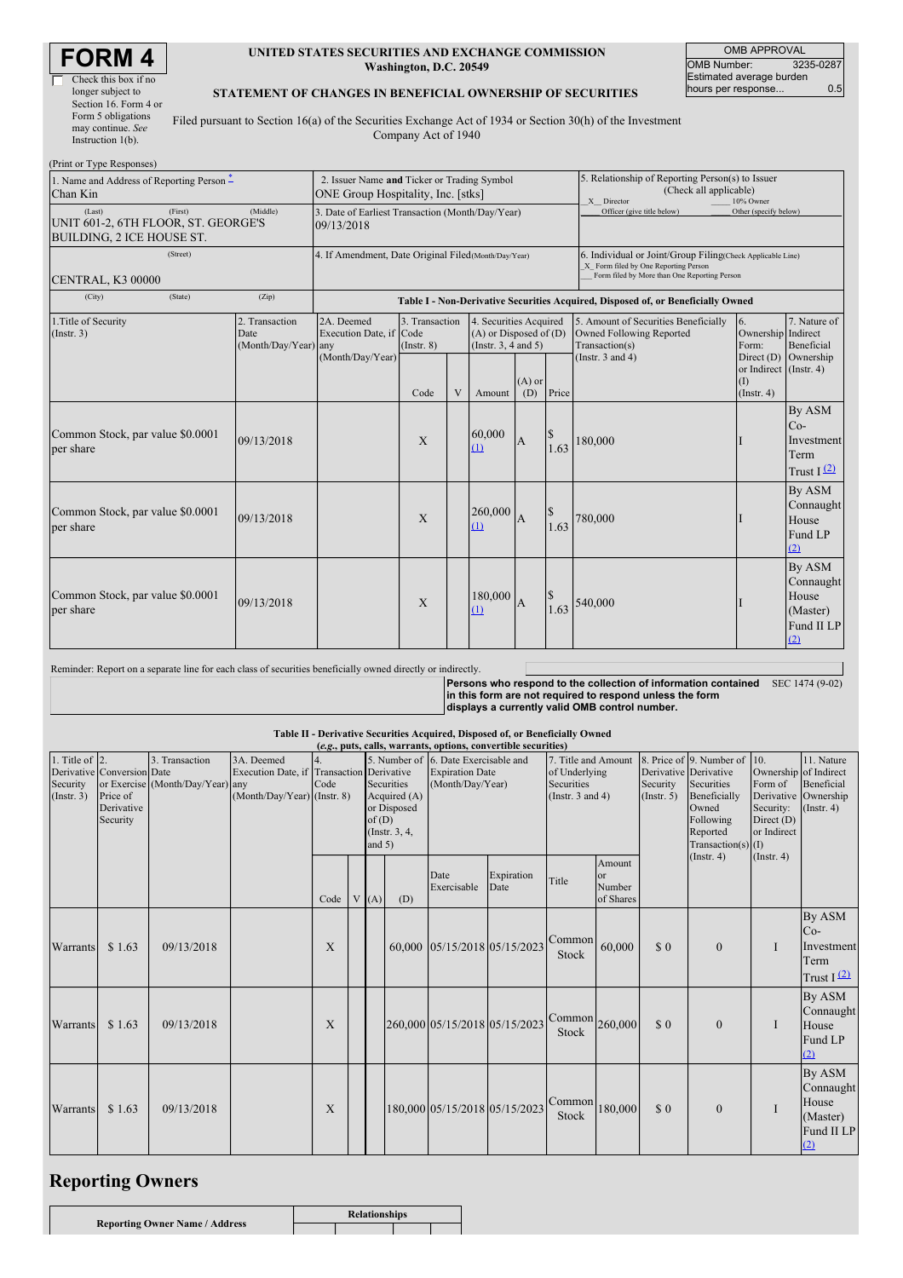| K<br>EIVI           |
|---------------------|
| heck this box if no |

| Check this box if no  |
|-----------------------|
| longer subject to     |
| Section 16. Form 4 or |
| Form 5 obligations    |
| may continue. See     |
| Instruction $1(b)$ .  |

#### **UNITED STATES SECURITIES AND EXCHANGE COMMISSION Washington, D.C. 20549**

OMB APPROVAL<br>umber: 3235-0287 OMB Number: 3235-0287 Estimated average burden hours per response... 0.5

#### **STATEMENT OF CHANGES IN BENEFICIAL OWNERSHIP OF SECURITIES**

Filed pursuant to Section 16(a) of the Securities Exchange Act of 1934 or Section 30(h) of the Investment Company Act of 1940

| (Print or Type Responses)                                                                                   |                                                                                   |                                                                |                                   |   |                                                                             |                 |                                                                                                                                                    |                                                                                                                             |                                                   |                                                               |
|-------------------------------------------------------------------------------------------------------------|-----------------------------------------------------------------------------------|----------------------------------------------------------------|-----------------------------------|---|-----------------------------------------------------------------------------|-----------------|----------------------------------------------------------------------------------------------------------------------------------------------------|-----------------------------------------------------------------------------------------------------------------------------|---------------------------------------------------|---------------------------------------------------------------|
| 1. Name and Address of Reporting Person -<br>Chan Kin                                                       | 2. Issuer Name and Ticker or Trading Symbol<br>ONE Group Hospitality, Inc. [stks] |                                                                |                                   |   |                                                                             |                 | 5. Relationship of Reporting Person(s) to Issuer<br>(Check all applicable)<br>X Director<br>10% Owner                                              |                                                                                                                             |                                                   |                                                               |
| (First)<br>(Last)<br>UNIT 601-2, 6TH FLOOR, ST. GEORGE'S<br>BUILDING, 2 ICE HOUSE ST.                       | (Middle)                                                                          | 3. Date of Earliest Transaction (Month/Day/Year)<br>09/13/2018 |                                   |   |                                                                             |                 |                                                                                                                                                    | Officer (give title below)                                                                                                  | Other (specify below)                             |                                                               |
| (Street)<br><b>CENTRAL, K3 00000</b>                                                                        | 4. If Amendment, Date Original Filed (Month/Day/Year)                             |                                                                |                                   |   |                                                                             |                 | 6. Individual or Joint/Group Filing(Check Applicable Line)<br>X Form filed by One Reporting Person<br>Form filed by More than One Reporting Person |                                                                                                                             |                                                   |                                                               |
| (City)<br>(State)                                                                                           | (Zip)                                                                             |                                                                |                                   |   |                                                                             |                 |                                                                                                                                                    | Table I - Non-Derivative Securities Acquired, Disposed of, or Beneficially Owned                                            |                                                   |                                                               |
| 1. Title of Security<br>(Insert. 3)                                                                         | 2. Transaction<br>Date<br>(Month/Day/Year) any                                    | 2A. Deemed<br>Execution Date, if Code<br>(Month/Day/Year)      | 3. Transaction<br>$($ Instr. $8)$ |   | 4. Securities Acquired<br>$(A)$ or Disposed of $(D)$<br>(Instr. 3, 4 and 5) |                 |                                                                                                                                                    | 5. Amount of Securities Beneficially<br>Owned Following Reported<br>Transaction(s)                                          | 6.<br>Ownership Indirect<br>Form:                 | 7. Nature of<br><b>Beneficial</b>                             |
|                                                                                                             |                                                                                   |                                                                | Code                              | V | Amount                                                                      | $(A)$ or<br>(D) | Price                                                                                                                                              | (Instr. $3$ and $4$ )                                                                                                       | or Indirect (Instr. 4)<br>(1)<br>$($ Instr. 4 $)$ | Direct (D) Ownership                                          |
| Common Stock, par value \$0.0001<br>per share                                                               | 09/13/2018                                                                        |                                                                | X                                 |   | 60,000<br>(1)                                                               | $\overline{A}$  | 1.63                                                                                                                                               | 180,000                                                                                                                     |                                                   | By ASM<br>$Co-$<br>Investment<br>Term<br>Trust $I(2)$         |
| Common Stock, par value \$0.0001<br>per share                                                               | 09/13/2018                                                                        |                                                                | X                                 |   | 260,000<br>(1)                                                              | $\overline{A}$  | 1.63                                                                                                                                               | 780,000                                                                                                                     |                                                   | By ASM<br>Connaught<br>House<br>Fund LP<br>(2)                |
| Common Stock, par value \$0.0001<br>per share                                                               | 09/13/2018                                                                        |                                                                | X                                 |   | 180,000<br>(1)                                                              | $\overline{A}$  | 1.63                                                                                                                                               | 540,000                                                                                                                     |                                                   | By ASM<br>Connaught<br>House<br>(Master)<br>Fund II LP<br>(2) |
| Reminder: Report on a separate line for each class of securities beneficially owned directly or indirectly. |                                                                                   |                                                                |                                   |   |                                                                             |                 |                                                                                                                                                    | Persons who respond to the collection of information contained<br>lin this form are not required to respond unless the form |                                                   | SEC 1474 (9-02)                                               |

in this form are not required to respond unless the form<br>displays a currently valid OMB control number.

## Table II - Derivative Securities Acquired, Disposed of, or Beneficially Owned (e.g., puts, calls, warrants, options, convertible securities)

| 1. Title of $\vert$ 2.<br>Security<br>(Insert. 3) | Derivative Conversion Date<br>Price of<br>Derivative<br>Security | 3. Transaction<br>or Exercise (Month/Day/Year) any | 3A. Deemed<br>Execution Date, if Transaction Derivative<br>$(Month/Day/Year)$ (Instr. 8) | Code | of(D)<br>and $5)$ | $(0.80, \mu\omega)$ cans, warrants, options, convertible securities)<br><b>Securities</b><br>Acquired (A)<br>or Disposed<br>(Instr. 3, 4, | 5. Number of 6. Date Exercisable and<br>7. Title and Amount<br><b>Expiration Date</b><br>of Underlying<br>Securities<br>(Month/Day/Year)<br>(Instr. $3$ and $4$ ) |                               | Security<br>(Insert. 5)          | 8. Price of 9. Number of 10.<br>Derivative Derivative<br>Securities<br>Beneficially<br>Owned<br>Following<br>Reported<br>Transaction(s) $(I)$<br>$($ Instr. 4 $)$ | Ownership of Indirect<br>Form of<br>Security:<br>Direct (D)<br>or Indirect<br>$($ Instr. 4 $)$ | 11. Nature<br>Beneficial<br>Derivative Ownership<br>$($ Instr. 4 $)$ |   |                                                               |
|---------------------------------------------------|------------------------------------------------------------------|----------------------------------------------------|------------------------------------------------------------------------------------------|------|-------------------|-------------------------------------------------------------------------------------------------------------------------------------------|-------------------------------------------------------------------------------------------------------------------------------------------------------------------|-------------------------------|----------------------------------|-------------------------------------------------------------------------------------------------------------------------------------------------------------------|------------------------------------------------------------------------------------------------|----------------------------------------------------------------------|---|---------------------------------------------------------------|
|                                                   |                                                                  |                                                    |                                                                                          | Code | V(A)              | (D)                                                                                                                                       | Date<br>Exercisable                                                                                                                                               | Expiration<br>Date            | Title                            | Amount<br><sub>or</sub><br>Number<br>of Shares                                                                                                                    |                                                                                                |                                                                      |   |                                                               |
| Warrants                                          | \$1.63                                                           | 09/13/2018                                         |                                                                                          | X    |                   |                                                                                                                                           |                                                                                                                                                                   | 60,000 05/15/2018 05/15/2023  | Common<br>Stock                  | 60,000                                                                                                                                                            | \$0                                                                                            | $\mathbf{0}$                                                         | I | By ASM<br>$Co-$<br>Investment<br>Term<br>Trust $I(2)$         |
| Warrants                                          | \$1.63                                                           | 09/13/2018                                         |                                                                                          | X    |                   |                                                                                                                                           |                                                                                                                                                                   | 260,000 05/15/2018 05/15/2023 | $\text{Common}$ 260,000<br>Stock |                                                                                                                                                                   | \$0                                                                                            | $\mathbf{0}$                                                         | I | By ASM<br>Connaught<br>House<br>Fund LP<br>(2)                |
| Warrants                                          | \$1.63                                                           | 09/13/2018                                         |                                                                                          | X    |                   |                                                                                                                                           |                                                                                                                                                                   | 180,000 05/15/2018 05/15/2023 | $\text{Common}$ 180,000<br>Stock |                                                                                                                                                                   | \$0                                                                                            | $\theta$                                                             | I | By ASM<br>Connaught<br>House<br>(Master)<br>Fund II LP<br>(2) |

# **Reporting Owners**

|                                       | <b>Relationships</b> |  |  |  |  |  |
|---------------------------------------|----------------------|--|--|--|--|--|
| <b>Reporting Owner Name / Address</b> |                      |  |  |  |  |  |